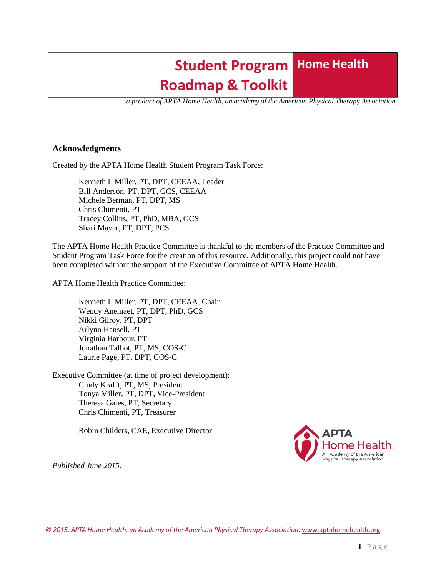# **Student Program Home Health Roadmap & Toolkit**

 *a product of APTA Home Health, an academy of the American Physical Therapy Association*

### **Acknowledgments**

Created by the APTA Home Health Student Program Task Force:

Kenneth L Miller, PT, DPT, CEEAA, Leader Bill Anderson, PT, DPT, GCS, CEEAA Michele Berman, PT, DPT, MS Chris Chimenti, PT Tracey Collins, PT, PhD, MBA, GCS Shari Mayer, PT, DPT, PCS

The APTA Home Health Practice Committee is thankful to the members of the Practice Committee and Student Program Task Force for the creation of this resource. Additionally, this project could not have been completed without the support of the Executive Committee of APTA Home Health.

APTA Home Health Practice Committee:

Kenneth L Miller, PT, DPT, CEEAA, Chair Wendy Anemaet, PT, DPT, PhD, GCS Nikki Gilroy, PT, DPT Arlynn Hansell, PT Virginia Harbour, PT Jonathan Talbot, PT, MS, COS-C Laurie Page, PT, DPT, COS-C

Executive Committee (at time of project development): Cindy Krafft, PT, MS, President Tonya Miller, PT, DPT, Vice-President Theresa Gates, PT, Secretary Chris Chimenti, PT, Treasurer

Robin Childers, CAE, Executive Director



*Published June 2015.*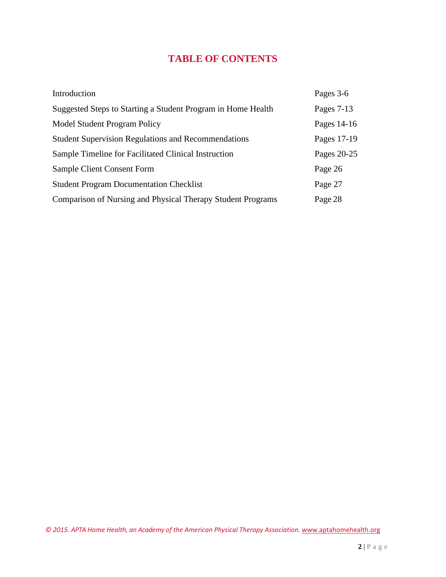## **TABLE OF CONTENTS**

<span id="page-1-0"></span>

| Introduction                                                 | Pages 3-6    |
|--------------------------------------------------------------|--------------|
| Suggested Steps to Starting a Student Program in Home Health | Pages $7-13$ |
| <b>Model Student Program Policy</b>                          | Pages 14-16  |
| <b>Student Supervision Regulations and Recommendations</b>   | Pages 17-19  |
| Sample Timeline for Facilitated Clinical Instruction         | Pages 20-25  |
| Sample Client Consent Form                                   | Page 26      |
| <b>Student Program Documentation Checklist</b>               | Page 27      |
| Comparison of Nursing and Physical Therapy Student Programs  | Page 28      |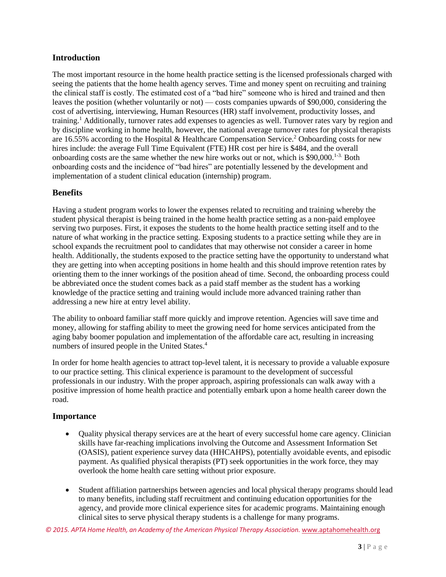### <span id="page-2-0"></span>**Introduction**

The most important resource in the home health practice setting is the licensed professionals charged with seeing the patients that the home health agency serves. Time and money spent on recruiting and training the clinical staff is costly. The estimated cost of a "bad hire" someone who is hired and trained and then leaves the position (whether voluntarily or not) — costs companies upwards of \$90,000, considering the cost of advertising, interviewing, Human Resources (HR) staff involvement, productivity losses, and training.<sup>1</sup> Additionally, turnover rates add expenses to agencies as well. Turnover rates vary by region and by discipline working in home health, however, the national average turnover rates for physical therapists are 16.55% according to the Hospital & Healthcare Compensation Service.<sup>2</sup> Onboarding costs for new hires include: the average Full Time Equivalent (FTE) HR cost per hire is \$484, and the overall onboarding costs are the same whether the new hire works out or not, which is \$90,000.<sup>1-3.</sup> Both onboarding costs and the incidence of "bad hires" are potentially lessened by the development and implementation of a student clinical education (internship) program.

### **Benefits**

Having a student program works to lower the expenses related to recruiting and training whereby the student physical therapist is being trained in the home health practice setting as a non-paid employee serving two purposes. First, it exposes the students to the home health practice setting itself and to the nature of what working in the practice setting. Exposing students to a practice setting while they are in school expands the recruitment pool to candidates that may otherwise not consider a career in home health. Additionally, the students exposed to the practice setting have the opportunity to understand what they are getting into when accepting positions in home health and this should improve retention rates by orienting them to the inner workings of the position ahead of time. Second, the onboarding process could be abbreviated once the student comes back as a paid staff member as the student has a working knowledge of the practice setting and training would include more advanced training rather than addressing a new hire at entry level ability.

The ability to onboard familiar staff more quickly and improve retention. Agencies will save time and money, allowing for staffing ability to meet the growing need for home services anticipated from the aging baby boomer population and implementation of the affordable care act, resulting in increasing numbers of insured people in the United States.<sup>4</sup>

In order for home health agencies to attract top-level talent, it is necessary to provide a valuable exposure to our practice setting. This clinical experience is paramount to the development of successful professionals in our industry. With the proper approach, aspiring professionals can walk away with a positive impression of home health practice and potentially embark upon a home health career down the road.

### **Importance**

- Quality physical therapy services are at the heart of every successful home care agency. Clinician skills have far-reaching implications involving the Outcome and Assessment Information Set (OASIS), patient experience survey data (HHCAHPS), potentially avoidable events, and episodic payment. As qualified physical therapists (PT) seek opportunities in the work force, they may overlook the home health care setting without prior exposure.
- Student affiliation partnerships between agencies and local physical therapy programs should lead to many benefits, including staff recruitment and continuing education opportunities for the agency, and provide more clinical experience sites for academic programs. Maintaining enough clinical sites to serve physical therapy students is a challenge for many programs.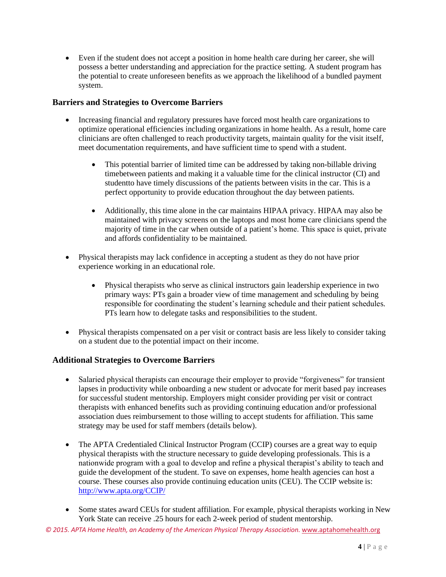• Even if the student does not accept a position in home health care during her career, she will possess a better understanding and appreciation for the practice setting. A student program has the potential to create unforeseen benefits as we approach the likelihood of a bundled payment system.

### **Barriers and Strategies to Overcome Barriers**

- Increasing financial and regulatory pressures have forced most health care organizations to optimize operational efficiencies including organizations in home health. As a result, home care clinicians are often challenged to reach productivity targets, maintain quality for the visit itself, meet documentation requirements, and have sufficient time to spend with a student.
	- This potential barrier of limited time can be addressed by taking non-billable driving timebetween patients and making it a valuable time for the clinical instructor (CI) and studentto have timely discussions of the patients between visits in the car. This is a perfect opportunity to provide education throughout the day between patients.
	- Additionally, this time alone in the car maintains HIPAA privacy. HIPAA may also be maintained with privacy screens on the laptops and most home care clinicians spend the majority of time in the car when outside of a patient's home. This space is quiet, private and affords confidentiality to be maintained.
- Physical therapists may lack confidence in accepting a student as they do not have prior experience working in an educational role.
	- Physical therapists who serve as clinical instructors gain leadership experience in two primary ways: PTs gain a broader view of time management and scheduling by being responsible for coordinating the student's learning schedule and their patient schedules. PTs learn how to delegate tasks and responsibilities to the student.
- Physical therapists compensated on a per visit or contract basis are less likely to consider taking on a student due to the potential impact on their income.

### **Additional Strategies to Overcome Barriers**

- Salaried physical therapists can encourage their employer to provide "forgiveness" for transient lapses in productivity while onboarding a new student or advocate for merit based pay increases for successful student mentorship. Employers might consider providing per visit or contract therapists with enhanced benefits such as providing continuing education and/or professional association dues reimbursement to those willing to accept students for affiliation. This same strategy may be used for staff members (details below).
- The APTA Credentialed Clinical Instructor Program (CCIP) courses are a great way to equip physical therapists with the structure necessary to guide developing professionals. This is a nationwide program with a goal to develop and refine a physical therapist's ability to teach and guide the development of the student. To save on expenses, home health agencies can host a course. These courses also provide continuing education units (CEU). The CCIP website is: <http://www.apta.org/CCIP/>
- Some states award CEUs for student affiliation. For example, physical therapists working in New York State can receive .25 hours for each 2-week period of student mentorship.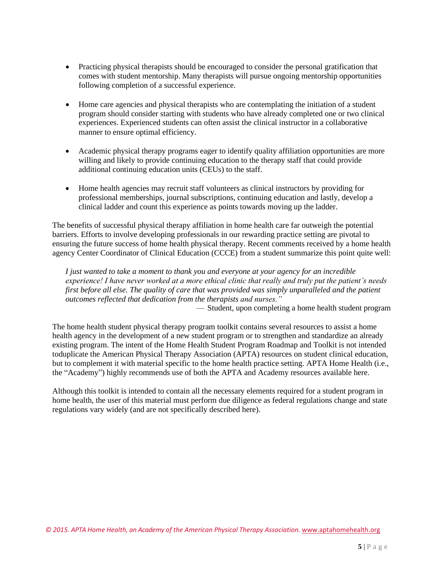- Practicing physical therapists should be encouraged to consider the personal gratification that comes with student mentorship. Many therapists will pursue ongoing mentorship opportunities following completion of a successful experience.
- Home care agencies and physical therapists who are contemplating the initiation of a student program should consider starting with students who have already completed one or two clinical experiences. Experienced students can often assist the clinical instructor in a collaborative manner to ensure optimal efficiency.
- Academic physical therapy programs eager to identify quality affiliation opportunities are more willing and likely to provide continuing education to the therapy staff that could provide additional continuing education units (CEUs) to the staff.
- Home health agencies may recruit staff volunteers as clinical instructors by providing for professional memberships, journal subscriptions, continuing education and lastly, develop a clinical ladder and count this experience as points towards moving up the ladder.

The benefits of successful physical therapy affiliation in home health care far outweigh the potential barriers. Efforts to involve developing professionals in our rewarding practice setting are pivotal to ensuring the future success of home health physical therapy. Recent comments received by a home health agency Center Coordinator of Clinical Education (CCCE) from a student summarize this point quite well:

*I just wanted to take a moment to thank you and everyone at your agency for an incredible experience! I have never worked at a more ethical clinic that really and truly put the patient's needs first before all else. The quality of care that was provided was simply unparalleled and the patient outcomes reflected that dedication from the therapists and nurses."*

— Student, upon completing a home health student program

The home health student physical therapy program toolkit contains several resources to assist a home health agency in the development of a new student program or to strengthen and standardize an already existing program. The intent of the Home Health Student Program Roadmap and Toolkit is not intended toduplicate the American Physical Therapy Association (APTA) resources on student clinical education, but to complement it with material specific to the home health practice setting. APTA Home Health (i.e., the "Academy") highly recommends use of both the APTA and Academy resources available here.

Although this toolkit is intended to contain all the necessary elements required for a student program in home health, the user of this material must perform due diligence as federal regulations change and state regulations vary widely (and are not specifically described here).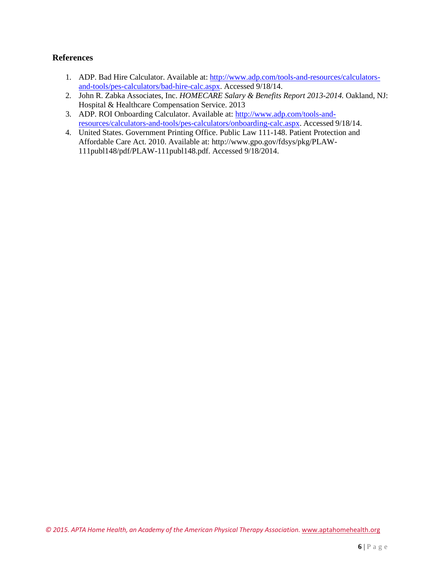### **References**

- 1. ADP. Bad Hire Calculator. Available at: [http://www.adp.com/tools-and-resources/calculators](http://www.adp.com/tools-and-resources/calculators-)and-tools/pes-calculators/bad-hire-calc.aspx. Accessed 9/18/14.
- 2. John R. Zabka Associates, Inc. *HOMECARE Salary & Benefits Report 2013-2014.* Oakland, NJ: Hospital & Healthcare Compensation Service. 2013
- 3. ADP. ROI Onboarding Calculator. Available at: [http://www.adp.com/tools-and](http://www.adp.com/tools-and-)resources/calculators-and-tools/pes-calculators/onboarding-calc.aspx. Accessed 9/18/14.
- 4. United States. Government Printing Office. Public Law 111-148. Patient Protection and Affordable Care Act. 2010. Available at:<http://www.gpo.gov/fdsys/pkg/PLAW->111publ148/pdf/PLAW-111publ148.pdf. Accessed 9/18/2014.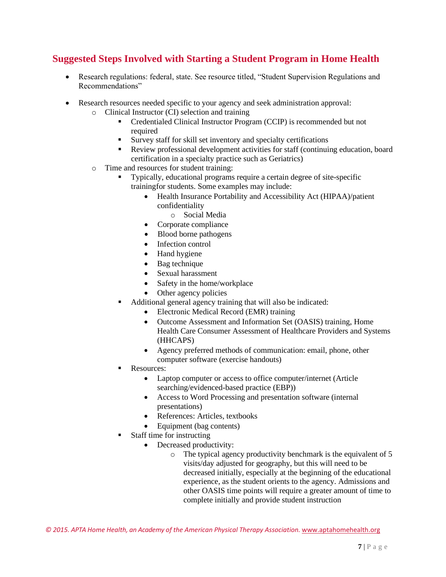### <span id="page-6-0"></span>**Suggested Steps Involved with Starting a Student Program in Home Health**

- Research regulations: federal, state. See resource titled, "Student Supervision Regulations and Recommendations"
- Research resources needed specific to your agency and seek administration approval:
	- o Clinical Instructor (CI) selection and training
		- Credentialed Clinical Instructor Program (CCIP) is recommended but not required
		- Survey staff for skill set inventory and specialty certifications
		- Review professional development activities for staff (continuing education, board certification in a specialty practice such as Geriatrics)
	- o Time and resources for student training:
		- Typically, educational programs require a certain degree of site-specific trainingfor students. Some examples may include:
			- Health Insurance Portability and Accessibility Act (HIPAA)/patient confidentiality
				- o Social Media
			- Corporate compliance
			- Blood borne pathogens
			- Infection control
			- Hand hygiene
			- Bag technique
			- Sexual harassment
			- Safety in the home/workplace
			- Other agency policies
		- Additional general agency training that will also be indicated:
			- Electronic Medical Record (EMR) training
			- Outcome Assessment and Information Set (OASIS) training, Home Health Care Consumer Assessment of Healthcare Providers and Systems (HHCAPS)
			- Agency preferred methods of communication: email, phone, other computer software (exercise handouts)
		- Resources:
			- Laptop computer or access to office computer/internet (Article searching/evidenced-based practice (EBP))
			- Access to Word Processing and presentation software (internal presentations)
			- References: Articles, textbooks
			- Equipment (bag contents)
		- Staff time for instructing
			- Decreased productivity:
				- o The typical agency productivity benchmark is the equivalent of 5 visits/day adjusted for geography, but this will need to be decreased initially, especially at the beginning of the educational experience, as the student orients to the agency. Admissions and other OASIS time points will require a greater amount of time to complete initially and provide student instruction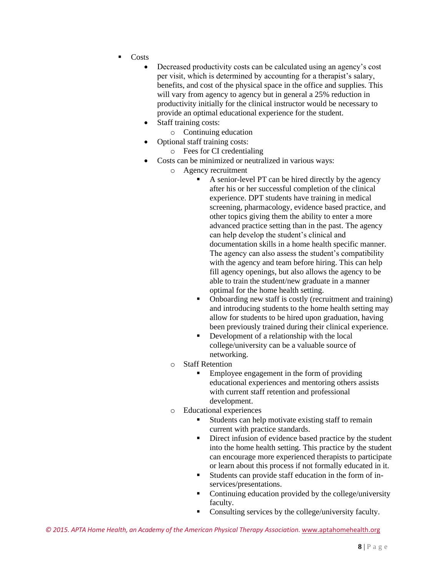- **Costs** 
	- Decreased productivity costs can be calculated using an agency's cost per visit, which is determined by accounting for a therapist's salary, benefits, and cost of the physical space in the office and supplies. This will vary from agency to agency but in general a 25% reduction in productivity initially for the clinical instructor would be necessary to provide an optimal educational experience for the student.
	- Staff training costs:
		- o Continuing education
	- Optional staff training costs:
		- o Fees for CI credentialing
	- Costs can be minimized or neutralized in various ways:
		- o Agency recruitment
			- A senior-level PT can be hired directly by the agency after his or her successful completion of the clinical experience. DPT students have training in medical screening, pharmacology, evidence based practice, and other topics giving them the ability to enter a more advanced practice setting than in the past. The agency can help develop the student's clinical and documentation skills in a home health specific manner. The agency can also assess the student's compatibility with the agency and team before hiring. This can help fill agency openings, but also allows the agency to be able to train the student/new graduate in a manner optimal for the home health setting.
			- Onboarding new staff is costly (recruitment and training) and introducing students to the home health setting may allow for students to be hired upon graduation, having been previously trained during their clinical experience.
			- Development of a relationship with the local college/university can be a valuable source of networking.
		- o Staff Retention
			- Employee engagement in the form of providing educational experiences and mentoring others assists with current staff retention and professional development.
		- o Educational experiences
			- Students can help motivate existing staff to remain current with practice standards.
			- Direct infusion of evidence based practice by the student into the home health setting. This practice by the student can encourage more experienced therapists to participate or learn about this process if not formally educated in it.
			- Students can provide staff education in the form of inservices/presentations.
			- Continuing education provided by the college/university faculty.
			- Consulting services by the college/university faculty.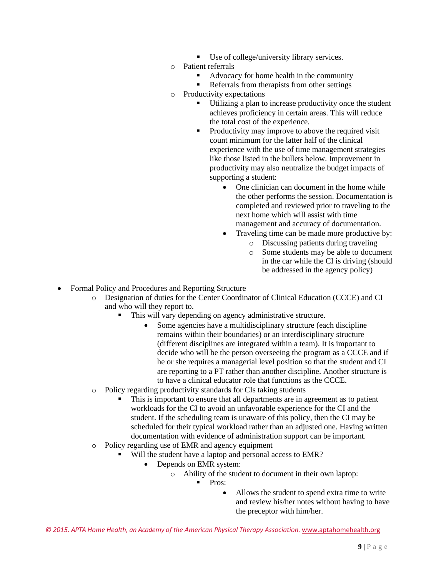- Use of college/university library services.
- o Patient referrals
	- Advocacy for home health in the community
	- Referrals from therapists from other settings
- o Productivity expectations
	- Utilizing a plan to increase productivity once the student achieves proficiency in certain areas. This will reduce the total cost of the experience.
	- Productivity may improve to above the required visit count minimum for the latter half of the clinical experience with the use of time management strategies like those listed in the bullets below. Improvement in productivity may also neutralize the budget impacts of supporting a student:
		- One clinician can document in the home while the other performs the session. Documentation is completed and reviewed prior to traveling to the next home which will assist with time management and accuracy of documentation.
		- Traveling time can be made more productive by:
			- o Discussing patients during traveling
			- o Some students may be able to document in the car while the CI is driving (should be addressed in the agency policy)
- Formal Policy and Procedures and Reporting Structure
	- o Designation of duties for the Center Coordinator of Clinical Education (CCCE) and CI and who will they report to.
		- This will vary depending on agency administrative structure.
			- Some agencies have a multidisciplinary structure (each discipline remains within their boundaries) or an interdisciplinary structure (different disciplines are integrated within a team). It is important to decide who will be the person overseeing the program as a CCCE and if he or she requires a managerial level position so that the student and CI are reporting to a PT rather than another discipline. Another structure is to have a clinical educator role that functions as the CCCE.
	- o Policy regarding productivity standards for CIs taking students
		- This is important to ensure that all departments are in agreement as to patient workloads for the CI to avoid an unfavorable experience for the CI and the student. If the scheduling team is unaware of this policy, then the CI may be scheduled for their typical workload rather than an adjusted one. Having written documentation with evidence of administration support can be important.
	- o Policy regarding use of EMR and agency equipment
		- Will the student have a laptop and personal access to EMR?
			- Depends on EMR system:
				- o Ability of the student to document in their own laptop:
					- Pros<sup>-</sup>
						- Allows the student to spend extra time to write and review his/her notes without having to have the preceptor with him/her.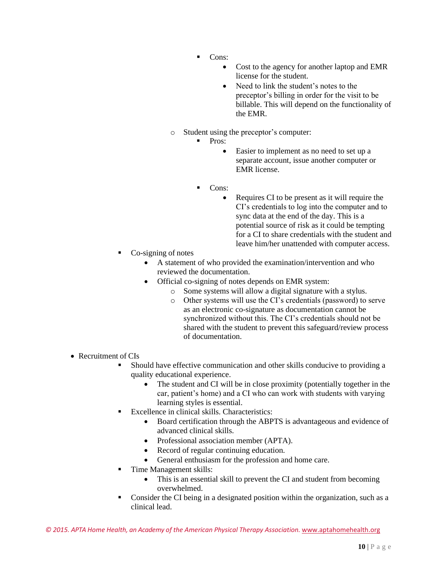- Cons:
	- Cost to the agency for another laptop and EMR license for the student.
	- Need to link the student's notes to the preceptor's billing in order for the visit to be billable. This will depend on the functionality of the EMR.
- o Student using the preceptor's computer:
	- Pros:
		- Easier to implement as no need to set up a separate account, issue another computer or EMR license.
	- Cons:
		- Requires CI to be present as it will require the CI's credentials to log into the computer and to sync data at the end of the day. This is a potential source of risk as it could be tempting for a CI to share credentials with the student and leave him/her unattended with computer access.
- Co-signing of notes
	- A statement of who provided the examination/intervention and who reviewed the documentation.
	- Official co-signing of notes depends on EMR system:
		- o Some systems will allow a digital signature with a stylus.
		- o Other systems will use the CI's credentials (password) to serve as an electronic co-signature as documentation cannot be synchronized without this. The CI's credentials should not be shared with the student to prevent this safeguard/review process of documentation.
- Recruitment of CIs
	- Should have effective communication and other skills conducive to providing a quality educational experience.
		- The student and CI will be in close proximity (potentially together in the car, patient's home) and a CI who can work with students with varying learning styles is essential.
	- Excellence in clinical skills. Characteristics:
		- Board certification through the ABPTS is advantageous and evidence of advanced clinical skills.
		- Professional association member (APTA).
		- Record of regular continuing education.
		- General enthusiasm for the profession and home care.
	- Time Management skills:
		- This is an essential skill to prevent the CI and student from becoming overwhelmed.
	- Consider the CI being in a designated position within the organization, such as a clinical lead.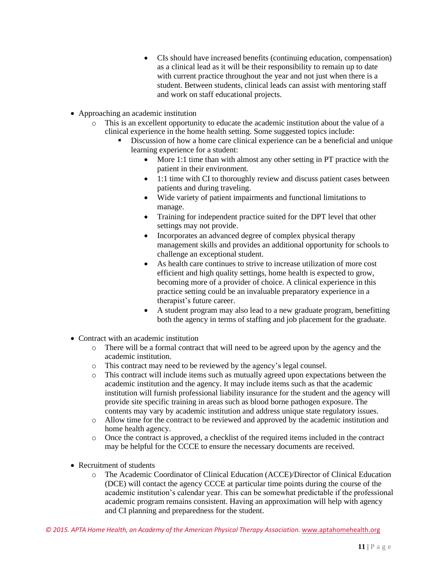- CIs should have increased benefits (continuing education, compensation) as a clinical lead as it will be their responsibility to remain up to date with current practice throughout the year and not just when there is a student. Between students, clinical leads can assist with mentoring staff and work on staff educational projects.
- Approaching an academic institution
	- o This is an excellent opportunity to educate the academic institution about the value of a clinical experience in the home health setting. Some suggested topics include:
		- Discussion of how a home care clinical experience can be a beneficial and unique learning experience for a student:
			- More 1:1 time than with almost any other setting in PT practice with the patient in their environment.
			- 1:1 time with CI to thoroughly review and discuss patient cases between patients and during traveling.
			- Wide variety of patient impairments and functional limitations to manage.
			- Training for independent practice suited for the DPT level that other settings may not provide.
			- Incorporates an advanced degree of complex physical therapy management skills and provides an additional opportunity for schools to challenge an exceptional student.
			- As health care continues to strive to increase utilization of more cost efficient and high quality settings, home health is expected to grow, becoming more of a provider of choice. A clinical experience in this practice setting could be an invaluable preparatory experience in a therapist's future career.
			- A student program may also lead to a new graduate program, benefitting both the agency in terms of staffing and job placement for the graduate.
- Contract with an academic institution
	- o There will be a formal contract that will need to be agreed upon by the agency and the academic institution.
	- o This contract may need to be reviewed by the agency's legal counsel.
	- o This contract will include items such as mutually agreed upon expectations between the academic institution and the agency. It may include items such as that the academic institution will furnish professional liability insurance for the student and the agency will provide site specific training in areas such as blood borne pathogen exposure. The contents may vary by academic institution and address unique state regulatory issues.
	- o Allow time for the contract to be reviewed and approved by the academic institution and home health agency.
	- o Once the contract is approved, a checklist of the required items included in the contract may be helpful for the CCCE to ensure the necessary documents are received.
- Recruitment of students
	- o The Academic Coordinator of Clinical Education (ACCE)/Director of Clinical Education (DCE) will contact the agency CCCE at particular time points during the course of the academic institution's calendar year. This can be somewhat predictable if the professional academic program remains consistent. Having an approximation will help with agency and CI planning and preparedness for the student.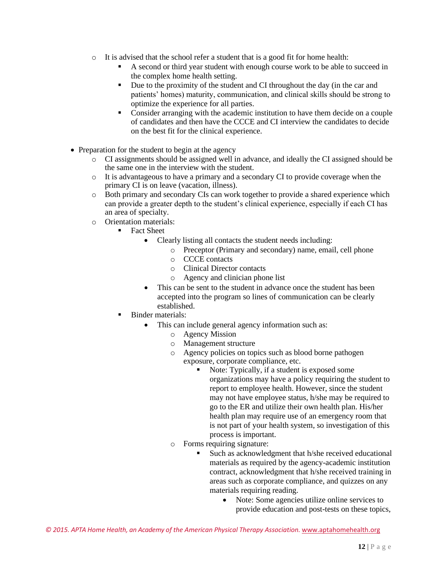- o It is advised that the school refer a student that is a good fit for home health:
	- A second or third year student with enough course work to be able to succeed in the complex home health setting.
	- Due to the proximity of the student and CI throughout the day (in the car and patients' homes) maturity, communication, and clinical skills should be strong to optimize the experience for all parties.
	- Consider arranging with the academic institution to have them decide on a couple of candidates and then have the CCCE and CI interview the candidates to decide on the best fit for the clinical experience.
- Preparation for the student to begin at the agency
	- o CI assignments should be assigned well in advance, and ideally the CI assigned should be the same one in the interview with the student.
	- o It is advantageous to have a primary and a secondary CI to provide coverage when the primary CI is on leave (vacation, illness).
	- o Both primary and secondary CIs can work together to provide a shared experience which can provide a greater depth to the student's clinical experience, especially if each CI has an area of specialty.
	- o Orientation materials:
		- **Fact Sheet** 
			- Clearly listing all contacts the student needs including:
				- o Preceptor (Primary and secondary) name, email, cell phone
					- o CCCE contacts
					- o Clinical Director contacts
					- o Agency and clinician phone list
			- This can be sent to the student in advance once the student has been accepted into the program so lines of communication can be clearly established.
		- **Binder materials:** 
			- This can include general agency information such as:
				- o Agency Mission
				- o Management structure
				- o Agency policies on topics such as blood borne pathogen exposure, corporate compliance, etc.
					- Note: Typically, if a student is exposed some organizations may have a policy requiring the student to report to employee health. However, since the student may not have employee status, h/she may be required to go to the ER and utilize their own health plan. His/her health plan may require use of an emergency room that is not part of your health system, so investigation of this process is important.
				- o Forms requiring signature:
					- Such as acknowledgment that h/she received educational materials as required by the agency-academic institution contract, acknowledgment that h/she received training in areas such as corporate compliance, and quizzes on any materials requiring reading.
						- Note: Some agencies utilize online services to provide education and post-tests on these topics,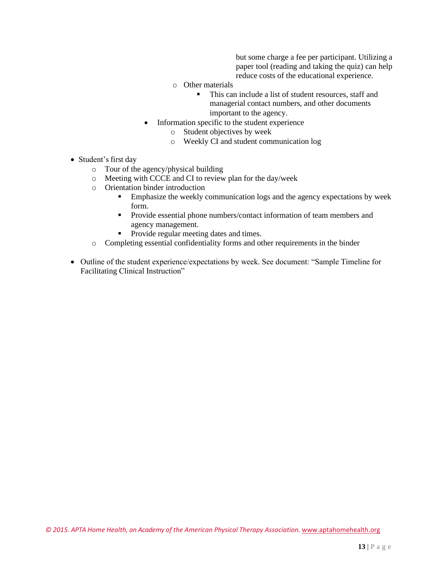but some charge a fee per participant. Utilizing a paper tool (reading and taking the quiz) can help reduce costs of the educational experience.

- o Other materials
	- This can include a list of student resources, staff and managerial contact numbers, and other documents important to the agency.
- Information specific to the student experience
	- o Student objectives by week
	- o Weekly CI and student communication log
- Student's first day
	- o Tour of the agency/physical building
	- o Meeting with CCCE and CI to review plan for the day/week
	- o Orientation binder introduction
		- **Emphasize the weekly communication logs and the agency expectations by week** form.
		- **•** Provide essential phone numbers/contact information of team members and agency management.
		- Provide regular meeting dates and times.
	- o Completing essential confidentiality forms and other requirements in the binder
- Outline of the student experience/expectations by week. See document: "Sample Timeline for Facilitating Clinical Instruction"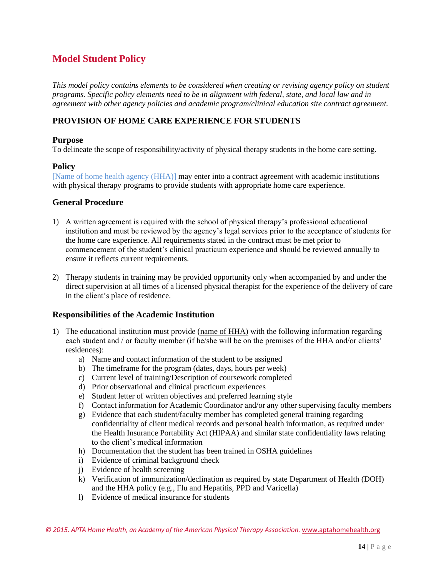### <span id="page-13-0"></span>**Model Student Policy**

*This model policy contains elements to be considered when creating or revising agency policy on student programs. Specific policy elements need to be in alignment with federal, state, and local law and in agreement with other agency policies and academic program/clinical education site contract agreement.*

### **PROVISION OF HOME CARE EXPERIENCE FOR STUDENTS**

### **Purpose**

To delineate the scope of responsibility/activity of physical therapy students in the home care setting.

### **Policy**

[Name of home health agency (HHA)] may enter into a contract agreement with academic institutions with physical therapy programs to provide students with appropriate home care experience.

### **General Procedure**

- 1) A written agreement is required with the school of physical therapy's professional educational institution and must be reviewed by the agency's legal services prior to the acceptance of students for the home care experience. All requirements stated in the contract must be met prior to commencement of the student's clinical practicum experience and should be reviewed annually to ensure it reflects current requirements.
- 2) Therapy students in training may be provided opportunity only when accompanied by and under the direct supervision at all times of a licensed physical therapist for the experience of the delivery of care in the client's place of residence.

### **Responsibilities of the Academic Institution**

- 1) The educational institution must provide (name of HHA) with the following information regarding each student and / or faculty member (if he/she will be on the premises of the HHA and/or clients' residences):
	- a) Name and contact information of the student to be assigned
	- b) The timeframe for the program (dates, days, hours per week)
	- c) Current level of training/Description of coursework completed
	- d) Prior observational and clinical practicum experiences
	- e) Student letter of written objectives and preferred learning style
	- f) Contact information for Academic Coordinator and/or any other supervising faculty members
	- g) Evidence that each student/faculty member has completed general training regarding confidentiality of client medical records and personal health information, as required under the Health Insurance Portability Act (HIPAA) and similar state confidentiality laws relating to the client's medical information
	- h) Documentation that the student has been trained in OSHA guidelines
	- i) Evidence of criminal background check
	- j) Evidence of health screening
	- k) Verification of immunization/declination as required by state Department of Health (DOH) and the HHA policy (e.g., Flu and Hepatitis, PPD and Varicella)
	- l) Evidence of medical insurance for students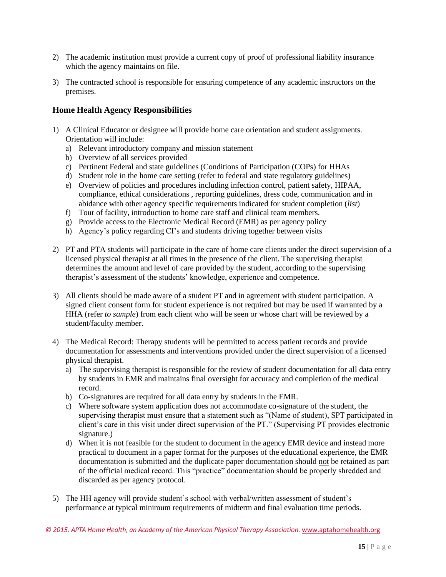- 2) The academic institution must provide a current copy of proof of professional liability insurance which the agency maintains on file.
- 3) The contracted school is responsible for ensuring competence of any academic instructors on the premises.

### **Home Health Agency Responsibilities**

- 1) A Clinical Educator or designee will provide home care orientation and student assignments. Orientation will include:
	- a) Relevant introductory company and mission statement
	- b) Overview of all services provided
	- c) Pertinent Federal and state guidelines (Conditions of Participation (COPs) for HHAs
	- d) Student role in the home care setting (refer to federal and state regulatory guidelines)
	- e) Overview of policies and procedures including infection control, patient safety, HIPAA, compliance, ethical considerations , reporting guidelines, dress code, communication and in abidance with other agency specific requirements indicated for student completion (*list*)
	- f) Tour of facility, introduction to home care staff and clinical team members.
	- g) Provide access to the Electronic Medical Record (EMR) as per agency policy
	- h) Agency's policy regarding CI's and students driving together between visits
- 2) PT and PTA students will participate in the care of home care clients under the direct supervision of a licensed physical therapist at all times in the presence of the client. The supervising therapist determines the amount and level of care provided by the student, according to the supervising therapist's assessment of the students' knowledge, experience and competence.
- 3) All clients should be made aware of a student PT and in agreement with student participation. A signed client consent form for student experience is not required but may be used if warranted by a HHA (refer *to sample*) from each client who will be seen or whose chart will be reviewed by a student/faculty member.
- 4) The Medical Record: Therapy students will be permitted to access patient records and provide documentation for assessments and interventions provided under the direct supervision of a licensed physical therapist.
	- a) The supervising therapist is responsible for the review of student documentation for all data entry by students in EMR and maintains final oversight for accuracy and completion of the medical record.
	- b) Co-signatures are required for all data entry by students in the EMR.
	- c) Where software system application does not accommodate co-signature of the student, the supervising therapist must ensure that a statement such as "(Name of student), SPT participated in client's care in this visit under direct supervision of the PT." (Supervising PT provides electronic signature.)
	- d) When it is not feasible for the student to document in the agency EMR device and instead more practical to document in a paper format for the purposes of the educational experience, the EMR documentation is submitted and the duplicate paper documentation should not be retained as part of the official medical record. This "practice" documentation should be properly shredded and discarded as per agency protocol.
- 5) The HH agency will provide student's school with verbal/written assessment of student's performance at typical minimum requirements of midterm and final evaluation time periods.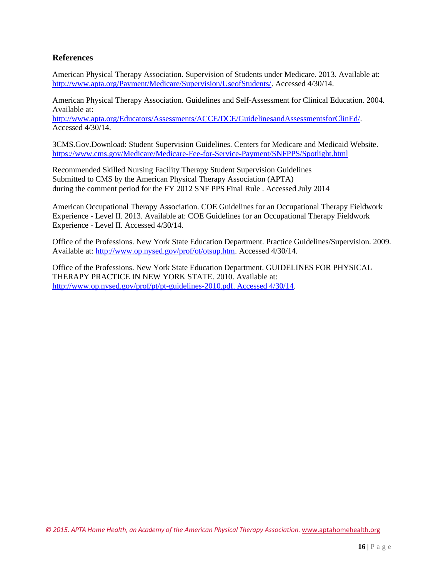### **References**

American Physical Therapy Association. Supervision of Students under Medicare. 2013. Available at: [http://www.apta.org/Payment/Medicare/Supervision/UseofStudents/.](http://www.apta.org/Payment/Medicare/Supervision/UseofStudents/) Accessed 4/30/14.

American Physical Therapy Association. Guidelines and Self-Assessment for Clinical Education. 2004. Available at:

[http://www.apta.org/Educators/Assessments/ACCE/DCE/GuidelinesandAssessmentsforClinEd/.](http://www.apta.org/Educators/Assessments/ACCE/DCE/GuidelinesandAssessmentsforClinEd/) Accessed 4/30/14.

3CMS.Gov.Download: Student Supervision Guidelines. Centers for Medicare and Medicaid Website. [https://www.cms.gov/Medicare/Medicare-Fee-for-Service-Paym](http://www.cms.gov/Medicare/Medicare-Fee-for-Service-Payment/SNFPPS/Spotlight.html)ent[/SNFPPS/Spotlight.html](http://www.cms.gov/Medicare/Medicare-Fee-for-Service-Payment/SNFPPS/Spotlight.html)

Recommended Skilled Nursing Facility Therapy Student Supervision Guidelines Submitted to CMS by the American Physical Therapy Association (APTA) during the comment period for the FY 2012 SNF PPS Final Rule . Accessed July 2014

American Occupational Therapy Association. COE Guidelines for an Occupational Therapy Fieldwork Experience - Level II. 2013. Available at: COE Guidelines for an Occupational Therapy Fieldwork Experience - Level II. Accessed 4/30/14.

Office of the Professions. New York State Education Department. Practice Guidelines/Supervision. 2009. Available at: [http://www.op.nysed.gov/prof/ot/otsup.htm. A](http://www.op.nysed.gov/prof/ot/otsup.htm)ccessed 4/30/14.

Office of the Professions. New York State Education Department. GUIDELINES FOR PHYSICAL THERAPY PRACTICE IN NEW YORK STATE. 2010. Available at: [http://www.op.nysed.gov/prof/pt/pt-guidelines-2010.pdf.](http://www.op.nysed.gov/prof/pt/pt-guidelines-2010.pdf.Accessed4/30/14) Accessed 4/30/14.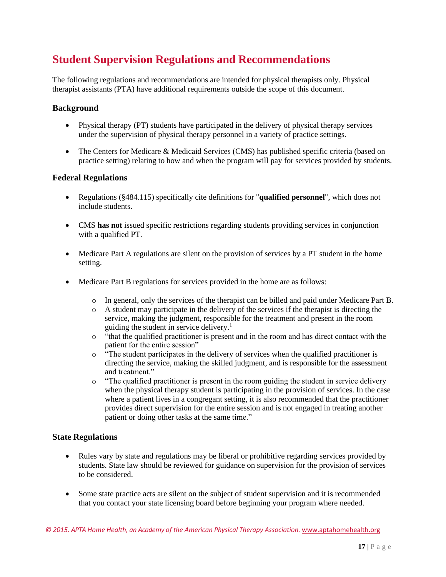# <span id="page-16-0"></span>**Student Supervision Regulations and Recommendations**

The following regulations and recommendations are intended for physical therapists only. Physical therapist assistants (PTA) have additional requirements outside the scope of this document.

### **Background**

- Physical therapy (PT) students have participated in the delivery of physical therapy services under the supervision of physical therapy personnel in a variety of practice settings.
- The Centers for Medicare & Medicaid Services (CMS) has published specific criteria (based on practice setting) relating to how and when the program will pay for services provided by students.

### **Federal Regulations**

- Regulations (§484.115) specifically cite definitions for "**qualified personnel**", which does not include students.
- CMS **has not** issued specific restrictions regarding students providing services in conjunction with a qualified PT.
- Medicare Part A regulations are silent on the provision of services by a PT student in the home setting.
- Medicare Part B regulations for services provided in the home are as follows:
	- o In general, only the services of the therapist can be billed and paid under Medicare Part B.
	- $\circ$  A student may participate in the delivery of the services if the therapist is directing the service, making the judgment, responsible for the treatment and present in the room guiding the student in service delivery.<sup>1</sup>
	- o "that the qualified practitioner is present and in the room and has direct contact with the patient for the entire session"
	- o "The student participates in the delivery of services when the qualified practitioner is directing the service, making the skilled judgment, and is responsible for the assessment and treatment."
	- o "The qualified practitioner is present in the room guiding the student in service delivery when the physical therapy student is participating in the provision of services. In the case where a patient lives in a congregant setting, it is also recommended that the practitioner provides direct supervision for the entire session and is not engaged in treating another patient or doing other tasks at the same time."

### **State Regulations**

- Rules vary by state and regulations may be liberal or prohibitive regarding services provided by students. State law should be reviewed for guidance on supervision for the provision of services to be considered.
- Some state practice acts are silent on the subject of student supervision and it is recommended that you contact your state licensing board before beginning your program where needed.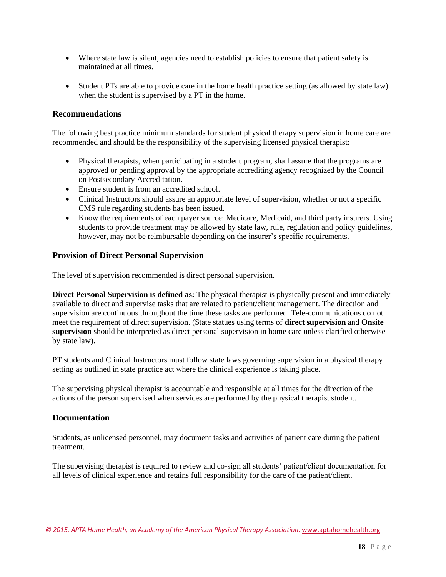- Where state law is silent, agencies need to establish policies to ensure that patient safety is maintained at all times.
- Student PTs are able to provide care in the home health practice setting (as allowed by state law) when the student is supervised by a PT in the home.

### **Recommendations**

The following best practice minimum standards for student physical therapy supervision in home care are recommended and should be the responsibility of the supervising licensed physical therapist:

- Physical therapists, when participating in a student program, shall assure that the programs are approved or pending approval by the appropriate accrediting agency recognized by the Council on Postsecondary Accreditation.
- Ensure student is from an accredited school.
- Clinical Instructors should assure an appropriate level of supervision, whether or not a specific CMS rule regarding students has been issued.
- Know the requirements of each payer source: Medicare, Medicaid, and third party insurers. Using students to provide treatment may be allowed by state law, rule, regulation and policy guidelines, however, may not be reimbursable depending on the insurer's specific requirements.

### **Provision of Direct Personal Supervision**

The level of supervision recommended is direct personal supervision.

**Direct Personal Supervision is defined as:** The physical therapist is physically present and immediately available to direct and supervise tasks that are related to patient/client management. The direction and supervision are continuous throughout the time these tasks are performed. Tele-communications do not meet the requirement of direct supervision. (State statues using terms of **direct supervision** and **Onsite supervision** should be interpreted as direct personal supervision in home care unless clarified otherwise by state law).

PT students and Clinical Instructors must follow state laws governing supervision in a physical therapy setting as outlined in state practice act where the clinical experience is taking place.

The supervising physical therapist is accountable and responsible at all times for the direction of the actions of the person supervised when services are performed by the physical therapist student.

#### **Documentation**

Students, as unlicensed personnel, may document tasks and activities of patient care during the patient treatment.

The supervising therapist is required to review and co-sign all students' patient/client documentation for all levels of clinical experience and retains full responsibility for the care of the patient/client.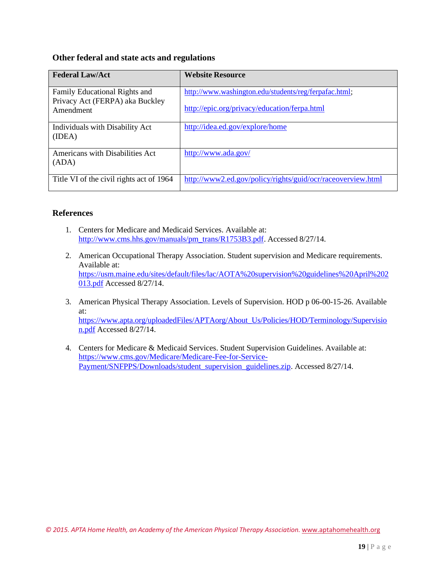### **Other federal and state acts and regulations**

| <b>Federal Law/Act</b>                                           | <b>Website Resource</b>                                     |
|------------------------------------------------------------------|-------------------------------------------------------------|
| Family Educational Rights and<br>Privacy Act (FERPA) aka Buckley | http://www.washington.edu/students/reg/ferpafac.html;       |
| Amendment                                                        | http://epic.org/privacy/education/ferpa.html                |
| Individuals with Disability Act<br>(IDEA)                        | http://idea.ed.gov/explore/home                             |
| Americans with Disabilities Act<br>(ADA)                         | http://www.ada.gov/                                         |
| Title VI of the civil rights act of 1964                         | http://www2.ed.gov/policy/rights/guid/ocr/raceoverview.html |

### **References**

- 1. Centers for Medicare and Medicaid Services. Available at: [http://www.cms.hhs.gov/manuals/pm\\_trans/R1753B3.pdf.](http://www.cms.hhs.gov/manuals/pm_trans/R1753B3.pdf) Accessed 8/27/14.
- 2. American Occupational Therapy Association. Student supervision and Medicare requirements. Available at: https://usm.maine.edu/sites/default/files/lac/AOTA%20supervision%20guidelines%20April%202 013.pdf Accessed 8/27/14.
- 3. American Physical Therapy Association. Levels of Supervision. HOD p 06-00-15-26. Available at: [https://www.apta.org/uploadedFiles/APT](http://www.apta.org/uploadedFiles/APTAorg/About_Us/Policies/HOD/Terminology/Supervisio)Aorg[/About\\_Us/Policies/HOD/Terminology/Supervisio](http://www.apta.org/uploadedFiles/APTAorg/About_Us/Policies/HOD/Terminology/Supervisio) n.pdf Accessed 8/27/14.
- 4. Centers for Medicare & Medicaid Services. Student Supervision Guidelines. Available at: [https://www.cms.gov/Medicare/Medicare-Fee-for-Service-](http://www.cms.gov/Medicare/Medicare-Fee-for-Service-)Payment/SNFPPS/Downloads/student\_supervision\_guidelines.zip. Accessed 8/27/14.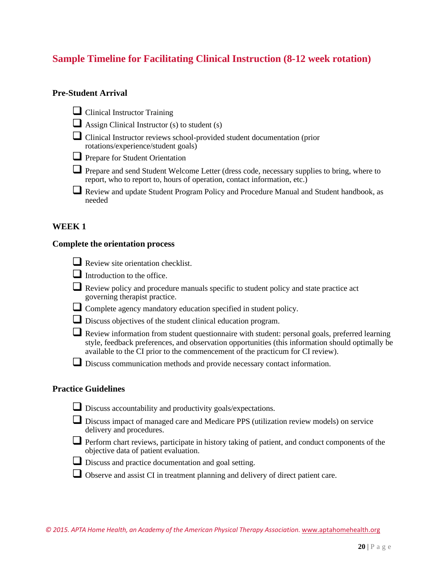### <span id="page-19-0"></span>**Sample Timeline for Facilitating Clinical Instruction (8-12 week rotation)**

### **Pre-Student Arrival**

- □ Clinical Instructor Training
- $\Box$  Assign Clinical Instructor (s) to student (s)
- □ Clinical Instructor reviews school-provided student documentation (prior) rotations/experience/student goals)
- □ Prepare for Student Orientation
- Prepare and send Student Welcome Letter (dress code, necessary supplies to bring, where to report, who to report to, hours of operation, contact information, etc.)
- Review and update Student Program Policy and Procedure Manual and Student handbook, as needed

### **WEEK 1**

#### **Complete the orientation process**

| $\Box$ Review site orientation checklist. |
|-------------------------------------------|
| $\Box$ Introduction to the office.        |

- Review policy and procedure manuals specific to student policy and state practice act governing therapist practice.
- ❑ Complete agency mandatory education specified in student policy.
- ❑ Discuss objectives of the student clinical education program.
- □ Review information from student questionnaire with student: personal goals, preferred learning style, feedback preferences, and observation opportunities (this information should optimally be available to the CI prior to the commencement of the practicum for CI review).
- ❑ Discuss communication methods and provide necessary contact information.

### **Practice Guidelines**

- □ Discuss accountability and productivity goals/expectations.
- □ Discuss impact of managed care and Medicare PPS (utilization review models) on service delivery and procedures.
- Perform chart reviews, participate in history taking of patient, and conduct components of the objective data of patient evaluation.
- □ Discuss and practice documentation and goal setting.
- □ Observe and assist CI in treatment planning and delivery of direct patient care.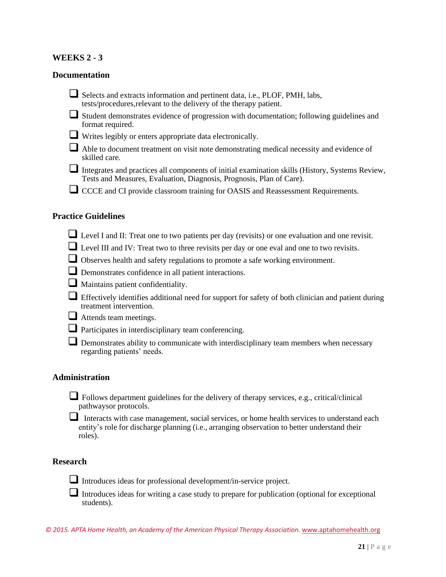### **WEEKS 2 - 3**

### **Documentation**

❑ Selects and extracts information and pertinent data, i.e., PLOF, PMH, labs, tests/procedures,relevant to the delivery of the therapy patient.

❑ Student demonstrates evidence of progression with documentation; following guidelines and format required.

- ❑ Writes legibly or enters appropriate data electronically.
- □ Able to document treatment on visit note demonstrating medical necessity and evidence of skilled care.
- □ Integrates and practices all components of initial examination skills (History, Systems Review, Tests and Measures, Evaluation, Diagnosis, Prognosis, Plan of Care).
- □ CCCE and CI provide classroom training for OASIS and Reassessment Requirements.

### **Practice Guidelines**

- Level I and II: Treat one to two patients per day (revisits) or one evaluation and one revisit.
- ❑ Level III and IV: Treat two to three revisits per day or one eval and one to two revisits.
- □ Observes health and safety regulations to promote a safe working environment.
- □ Demonstrates confidence in all patient interactions.
- □ Maintains patient confidentiality.
- □ Effectively identifies additional need for support for safety of both clinician and patient during treatment intervention.
- □ Attends team meetings.
- □ Participates in interdisciplinary team conferencing.
- □ Demonstrates ability to communicate with interdisciplinary team members when necessary regarding patients' needs.

### **Administration**

 $\Box$  Follows department guidelines for the delivery of therapy services, e.g., critical/clinical pathwaysor protocols.

Interacts with case management, social services, or home health services to understand each entity's role for discharge planning (i.e., arranging observation to better understand their roles).

### **Research**

❑ Introduces ideas for professional development/in-service project.

□ Introduces ideas for writing a case study to prepare for publication (optional for exceptional students).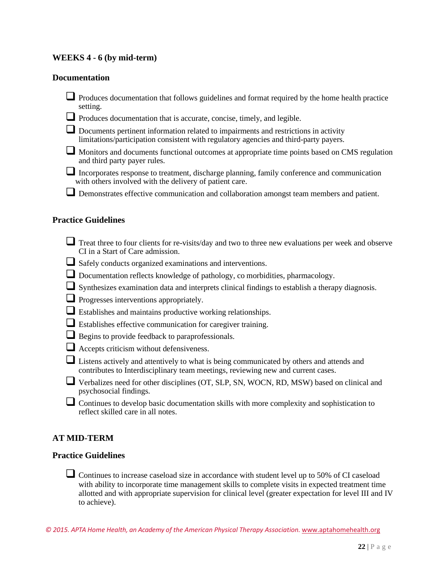### **WEEKS 4 - 6 (by mid-term)**

### **Documentation**

- □ Produces documentation that follows guidelines and format required by the home health practice setting.
- □ Produces documentation that is accurate, concise, timely, and legible.
- ❑ Documents pertinent information related to impairments and restrictions in activity limitations/participation consistent with regulatory agencies and third-party payers.
- Monitors and documents functional outcomes at appropriate time points based on CMS regulation and third party payer rules.
- $\Box$  Incorporates response to treatment, discharge planning, family conference and communication with others involved with the delivery of patient care.
- □ Demonstrates effective communication and collaboration amongst team members and patient.

#### **Practice Guidelines**

- Treat three to four clients for re-visits/day and two to three new evaluations per week and observe CI in a Start of Care admission.
- ❑ Safely conducts organized examinations and interventions.
- ❑ Documentation reflects knowledge of pathology, co morbidities, pharmacology.
- Synthesizes examination data and interprets clinical findings to establish a therapy diagnosis.
- □ Progresses interventions appropriately.
- ❑ Establishes and maintains productive working relationships.
- ❑ Establishes effective communication for caregiver training.
- □ Begins to provide feedback to paraprofessionals.
- □ Accepts criticism without defensiveness.
- □ Listens actively and attentively to what is being communicated by others and attends and contributes to Interdisciplinary team meetings, reviewing new and current cases.
- Verbalizes need for other disciplines (OT, SLP, SN, WOCN, RD, MSW) based on clinical and psychosocial findings.
- $\Box$  Continues to develop basic documentation skills with more complexity and sophistication to reflect skilled care in all notes.

### **AT MID-TERM**

### **Practice Guidelines**

□ Continues to increase caseload size in accordance with student level up to 50% of CI caseload with ability to incorporate time management skills to complete visits in expected treatment time allotted and with appropriate supervision for clinical level (greater expectation for level III and IV to achieve).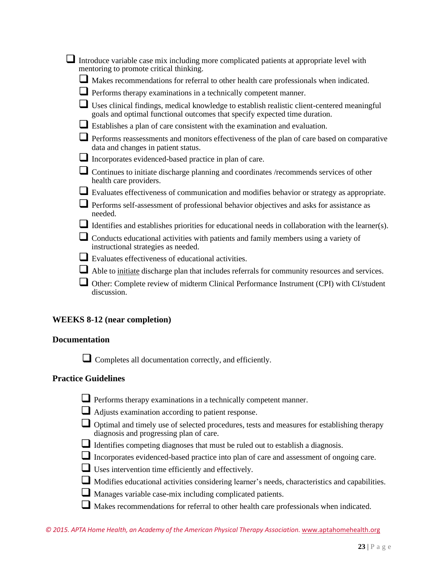|                            | Introduce variable case mix including more complicated patients at appropriate level with                                                                                 |
|----------------------------|---------------------------------------------------------------------------------------------------------------------------------------------------------------------------|
|                            | mentoring to promote critical thinking.                                                                                                                                   |
|                            | Makes recommendations for referral to other health care professionals when indicated.                                                                                     |
|                            | Performs therapy examinations in a technically competent manner.                                                                                                          |
|                            | Uses clinical findings, medical knowledge to establish realistic client-centered meaningful<br>goals and optimal functional outcomes that specify expected time duration. |
|                            | Establishes a plan of care consistent with the examination and evaluation.                                                                                                |
|                            | Performs reassessments and monitors effectiveness of the plan of care based on comparative<br>data and changes in patient status.                                         |
|                            | Incorporates evidenced-based practice in plan of care.                                                                                                                    |
|                            | Continues to initiate discharge planning and coordinates /recommends services of other<br>health care providers.                                                          |
|                            | Evaluates effectiveness of communication and modifies behavior or strategy as appropriate.                                                                                |
|                            | Performs self-assessment of professional behavior objectives and asks for assistance as<br>needed.                                                                        |
|                            | Identifies and establishes priorities for educational needs in collaboration with the learner(s).                                                                         |
|                            | Conducts educational activities with patients and family members using a variety of<br>instructional strategies as needed.                                                |
|                            | Evaluates effectiveness of educational activities.                                                                                                                        |
|                            | Able to initiate discharge plan that includes referrals for community resources and services.                                                                             |
|                            | <b>I</b> Other: Complete review of midterm Clinical Performance Instrument (CPI) with CI/student<br>discussion.                                                           |
|                            | <b>WEEKS 8-12 (near completion)</b>                                                                                                                                       |
| <b>Documentation</b>       |                                                                                                                                                                           |
|                            | Completes all documentation correctly, and efficiently.                                                                                                                   |
| <b>Practice Guidelines</b> |                                                                                                                                                                           |
|                            | Performs therapy examinations in a technically competent manner.                                                                                                          |

- ❑ Adjusts examination according to patient response.
- □ Optimal and timely use of selected procedures, tests and measures for establishing therapy diagnosis and progressing plan of care.
- ❑ Identifies competing diagnoses that must be ruled out to establish <sup>a</sup> diagnosis.
- ❑ Incorporates evidenced-based practice into plan of care and assessment of ongoing care.
- □ Uses intervention time efficiently and effectively.
- ❑ Modifies educational activities considering learner's needs, characteristics and capabilities.
- ❑ Manages variable case-mix including complicated patients.
- ❑ Makes recommendations for referral to other health care professionals when indicated.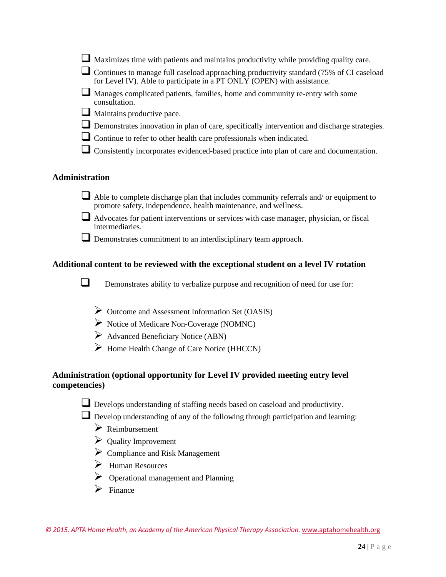| $\Box$ Maximizes time with patients and maintains productivity while providing quality care |  |
|---------------------------------------------------------------------------------------------|--|
|---------------------------------------------------------------------------------------------|--|

❑ Continues to manage full caseload approaching productivity standard (75% of CI caseload for Level IV). Able to participate in a PT ONLY (OPEN) with assistance.

- Manages complicated patients, families, home and community re-entry with some consultation.
- □ Maintains productive pace.
- □ Demonstrates innovation in plan of care, specifically intervention and discharge strategies.
- □ Continue to refer to other health care professionals when indicated.
- □ Consistently incorporates evidenced-based practice into plan of care and documentation.

### **Administration**

- □ Able to <u>complete</u> discharge plan that includes community referrals and/ or equipment to promote safety, independence, health maintenance, and wellness.
- $\Box$  Advocates for patient interventions or services with case manager, physician, or fiscal intermediaries.
- ❑ Demonstrates commitment to an interdisciplinary team approach.

### **Additional content to be reviewed with the exceptional student on a level IV rotation**

□ Demonstrates ability to verbalize purpose and recognition of need for use for:

- ➢ Outcome and Assessment Information Set (OASIS)
- ➢ Notice of Medicare Non-Coverage (NOMNC)
- ➢ Advanced Beneficiary Notice (ABN)
- ➢ Home Health Change of Care Notice (HHCCN)

### **Administration (optional opportunity for Level IV provided meeting entry level competencies)**

□ Develops understanding of staffing needs based on caseload and productivity.

□ Develop understanding of any of the following through participation and learning:

- ➢ Reimbursement
- ➢ Quality Improvement
- ➢ Compliance and Risk Management
- ➢ Human Resources
- ➢ Operational management and Planning
- $\triangleright$  Finance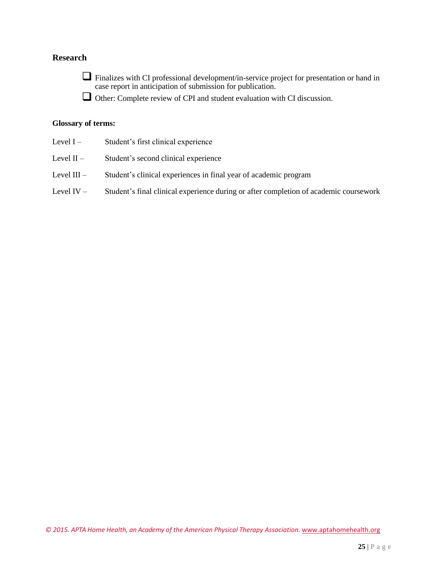### **Research**

❑ Finalizes with CI professional development/in-service project for presentation or hand in case report in anticipation of submission for publication.

❑ Other: Complete review of CPI and student evaluation with CI discussion.

#### **Glossary of terms:**

- Level I Student's first clinical experience
- Level II Student's second clinical experience
- Level III Student's clinical experiences in final year of academic program
- Level IV Student's final clinical experience during or after completion of academic coursework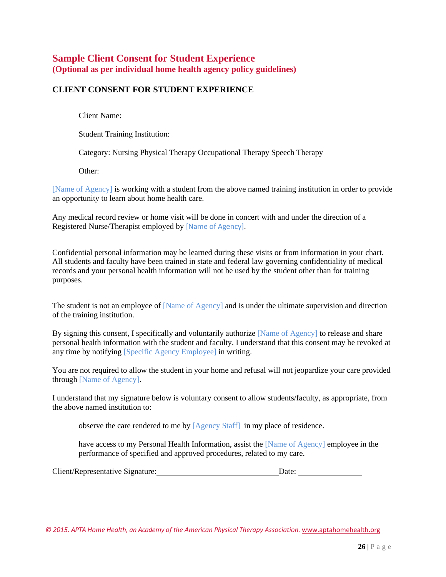### <span id="page-25-0"></span>**Sample Client Consent for Student Experience (Optional as per individual home health agency policy guidelines)**

### **CLIENT CONSENT FOR STUDENT EXPERIENCE**

Client Name:

Student Training Institution:

Category: Nursing Physical Therapy Occupational Therapy Speech Therapy

Other:

[Name of Agency] is working with a student from the above named training institution in order to provide an opportunity to learn about home health care.

Any medical record review or home visit will be done in concert with and under the direction of a Registered Nurse/Therapist employed by [Name of Agency].

Confidential personal information may be learned during these visits or from information in your chart. All students and faculty have been trained in state and federal law governing confidentiality of medical records and your personal health information will not be used by the student other than for training purposes.

The student is not an employee of [Name of Agency] and is under the ultimate supervision and direction of the training institution.

By signing this consent, I specifically and voluntarily authorize [Name of Agency] to release and share personal health information with the student and faculty. I understand that this consent may be revoked at any time by notifying [Specific Agency Employee] in writing.

You are not required to allow the student in your home and refusal will not jeopardize your care provided through [Name of Agency].

I understand that my signature below is voluntary consent to allow students/faculty, as appropriate, from the above named institution to:

observe the care rendered to me by [Agency Staff] in my place of residence.

have access to my Personal Health Information, assist the [Name of Agency] employee in the performance of specified and approved procedures, related to my care.

Client/Representative Signature: Date: Date: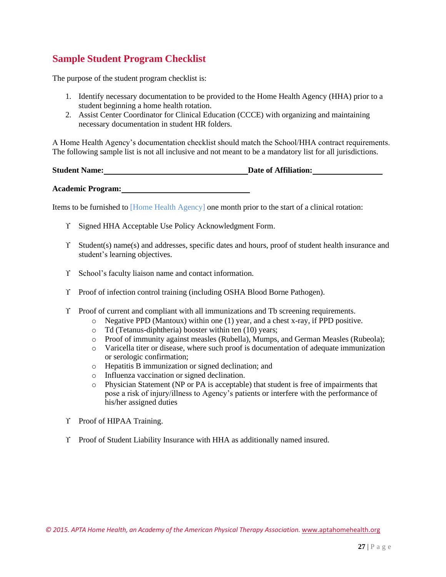### <span id="page-26-0"></span>**Sample Student Program Checklist**

The purpose of the student program checklist is:

- 1. Identify necessary documentation to be provided to the Home Health Agency (HHA) prior to a student beginning a home health rotation.
- 2. Assist Center Coordinator for Clinical Education (CCCE) with organizing and maintaining necessary documentation in student HR folders.

A Home Health Agency's documentation checklist should match the School/HHA contract requirements. The following sample list is not all inclusive and not meant to be a mandatory list for all jurisdictions.

| <b>Student Name:</b> | Date of Affiliation: |
|----------------------|----------------------|
|                      |                      |

**Academic Program:**

Items to be furnished to [Home Health Agency] one month prior to the start of a clinical rotation:

- Signed HHA Acceptable Use Policy Acknowledgment Form.
- Student(s) name(s) and addresses, specific dates and hours, proof of student health insurance and student's learning objectives.
- School's faculty liaison name and contact information.
- Y Proof of infection control training (including OSHA Blood Borne Pathogen).
- Proof of current and compliant with all immunizations and Tb screening requirements.
	- o Negative PPD (Mantoux) within one (1) year, and a chest x-ray, if PPD positive.
		- o Td (Tetanus-diphtheria) booster within ten (10) years;
		- o Proof of immunity against measles (Rubella), Mumps, and German Measles (Rubeola);
		- o Varicella titer or disease, where such proof is documentation of adequate immunization or serologic confirmation;
		- o Hepatitis B immunization or signed declination; and
		- o Influenza vaccination or signed declination.
		- o Physician Statement (NP or PA is acceptable) that student is free of impairments that pose a risk of injury/illness to Agency's patients or interfere with the performance of his/her assigned duties
- Y Proof of HIPAA Training.
- Proof of Student Liability Insurance with HHA as additionally named insured.